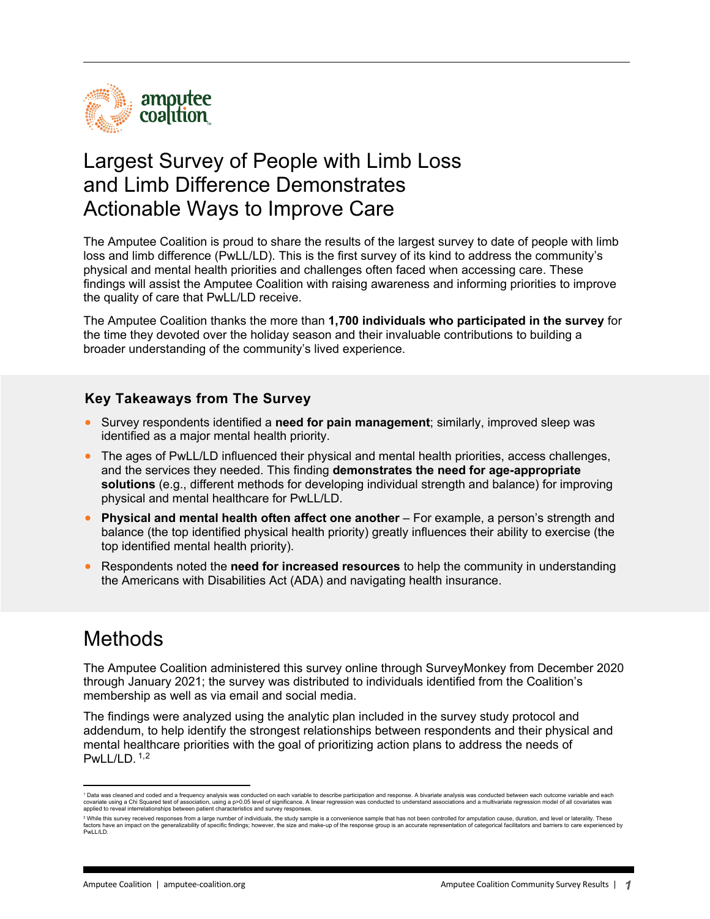

### Largest Survey of People with Limb Loss and Limb Difference Demonstrates Actionable Ways to Improve Care

The Amputee Coalition is proud to share the results of the largest survey to date of people with limb loss and limb difference (PwLL/LD). This is the first survey of its kind to address the community's physical and mental health priorities and challenges often faced when accessing care. These findings will assist the Amputee Coalition with raising awareness and informing priorities to improve the quality of care that PwLL/LD receive.

The Amputee Coalition thanks the more than **1,700 individuals who participated in the survey** for the time they devoted over the holiday season and their invaluable contributions to building a broader understanding of the community's lived experience.

### **Key Takeaways from The Survey**

- Survey respondents identified a **need for pain management**; similarly, improved sleep was identified as a major mental health priority.
- The ages of PwLL/LD influenced their physical and mental health priorities, access challenges, and the services they needed. This finding **demonstrates the need for age-appropriate solutions** (e.g., different methods for developing individual strength and balance) for improving physical and mental healthcare for PwLL/LD.
- **Physical and mental health often affect one another**  For example, a person's strength and balance (the top identified physical health priority) greatly influences their ability to exercise (the top identified mental health priority).
- Respondents noted the **need for increased resources** to help the community in understanding the Americans with Disabilities Act (ADA) and navigating health insurance.

## Methods

The Amputee Coalition administered this survey online through SurveyMonkey from December 2020 through January 2021; the survey was distributed to individuals identified from the Coalition's membership as well as via email and social media.

The findings were analyzed using the analytic plan included in the survey study protocol and addendum, to help identify the strongest relationships between respondents and their physical and mental healthcare priorities with the goal of prioritizing action plans to address the needs of PwLL/LD.  $1,2$  $1,2$  $1,2$ 

<span id="page-0-0"></span><sup>&</sup>lt;sup>1</sup> Data was cleaned and coded and a frequency analysis was conducted on each variable to describe participation and response. A bivariate analysis was conducted between each outcome variable and each covariate using a Chi Squared test of association, using a p>0.05 level of significance. A linear regression was conducted to understand associations and a multivariate regression model of all covariates was<br>applied to re

<span id="page-0-1"></span><sup>&</sup>lt;sup>2</sup> While this survey received responses from a large number of individuals, the study sample is a convenience sample that has not been controlled for amputation cause, duration, and level or laterality. These factors have an impact on the generalizability of specific findings; however, the size and make-up of the response group is an accurate representation of categorical facilitators and barriers to care experienced by PwLL/LD.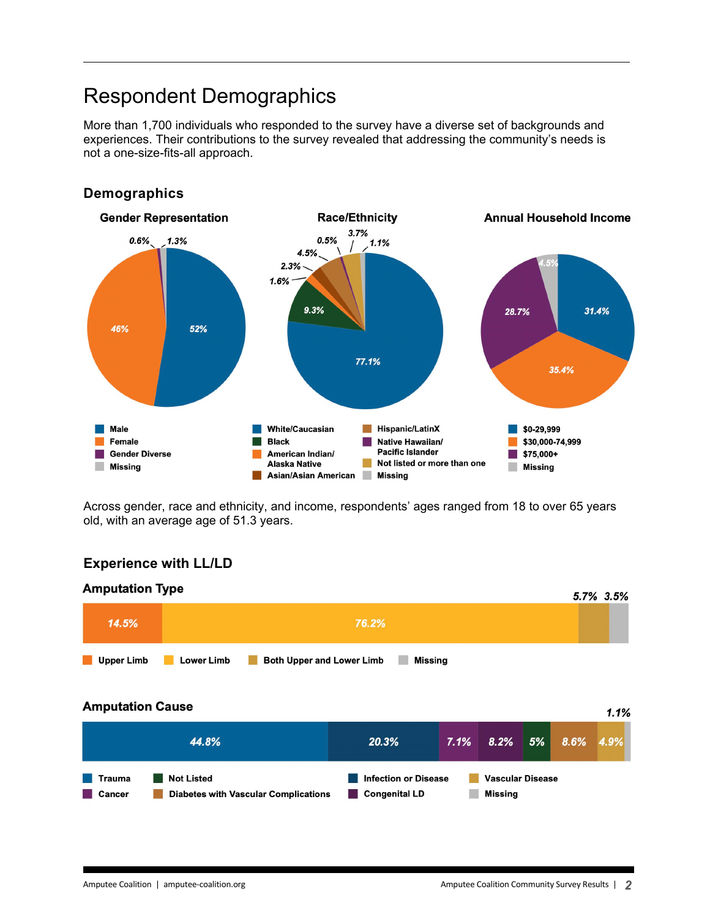## Respondent Demographics

More than 1,700 individuals who responded to the survey have a diverse set of backgrounds and experiences. Their contributions to the survey revealed that addressing the community's needs is not a one-size-fits-all approach.



#### **Demographics**

Across gender, race and ethnicity, and income, respondents' ages ranged from 18 to over 65 years old, with an average age of 51.3 years.

### **Experience with LL/LD**

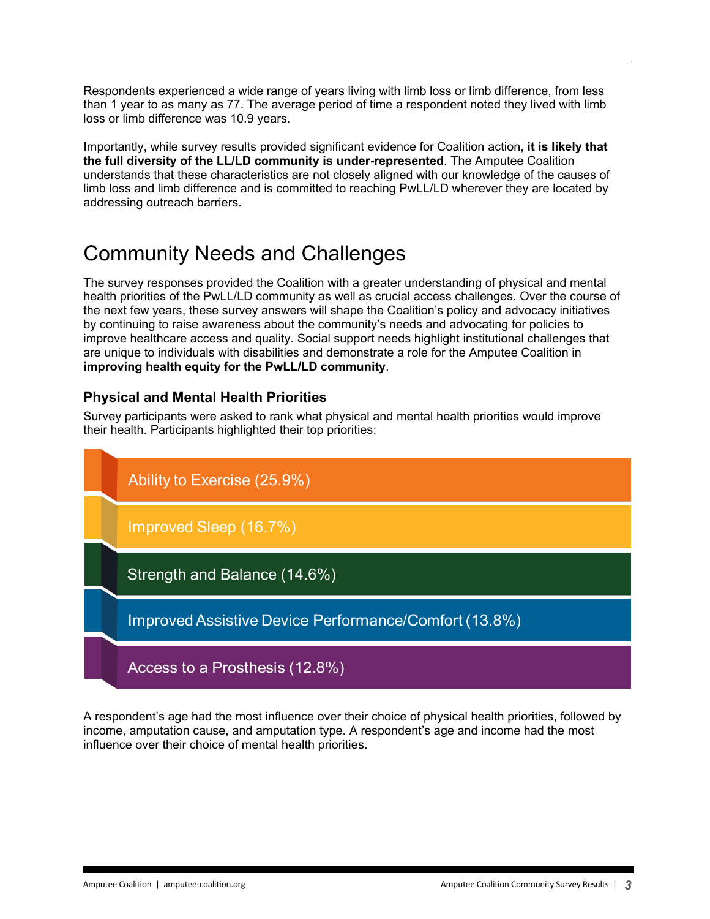Respondents experienced a wide range of years living with limb loss or limb difference, from less than 1 year to as many as 77. The average period of time a respondent noted they lived with limb loss or limb difference was 10.9 years.

Importantly, while survey results provided significant evidence for Coalition action, **it is likely that the full diversity of the LL/LD community is under-represented**. The Amputee Coalition understands that these characteristics are not closely aligned with our knowledge of the causes of limb loss and limb difference and is committed to reaching PwLL/LD wherever they are located by addressing outreach barriers.

# Community Needs and Challenges

The survey responses provided the Coalition with a greater understanding of physical and mental health priorities of the PwLL/LD community as well as crucial access challenges. Over the course of the next few years, these survey answers will shape the Coalition's policy and advocacy initiatives by continuing to raise awareness about the community's needs and advocating for policies to improve healthcare access and quality. Social support needs highlight institutional challenges that are unique to individuals with disabilities and demonstrate a role for the Amputee Coalition in **improving health equity for the PwLL/LD community**.

### **Physical and Mental Health Priorities**

Survey participants were asked to rank what physical and mental health priorities would improve their health. Participants highlighted their top priorities:



A respondent's age had the most influence over their choice of physical health priorities, followed by income, amputation cause, and amputation type. A respondent's age and income had the most influence over their choice of mental health priorities.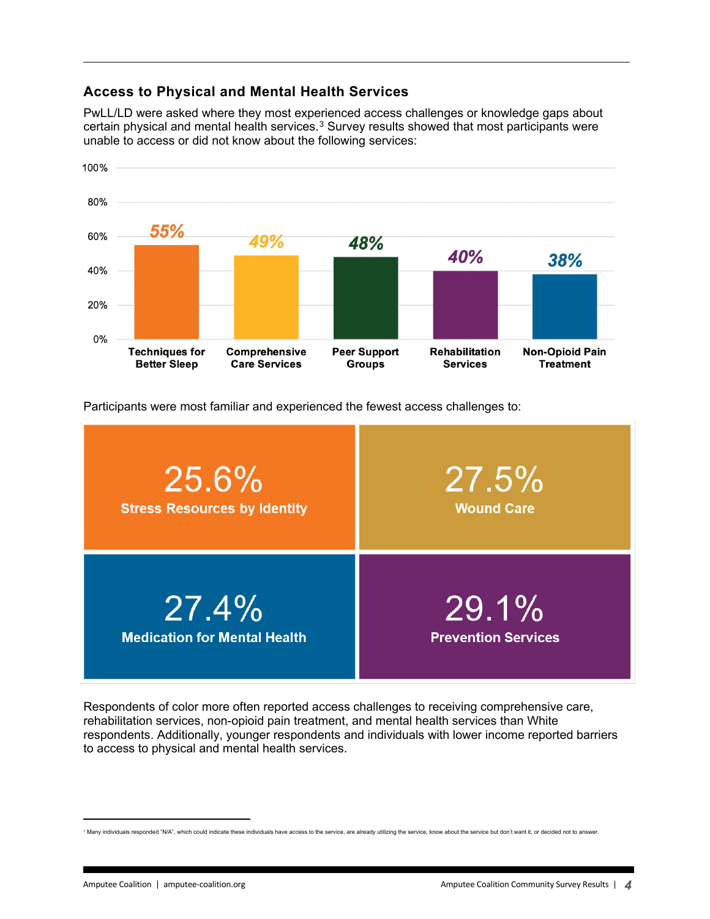### **Access to Physical and Mental Health Services**

PwLL/LD were asked where they most experienced access challenges or knowledge gaps about certain physical and mental health services. $^3$  $^3$  Survey results showed that most participants were unable to access or did not know about the following services:



Participants were most familiar and experienced the fewest access challenges to:



Respondents of color more often reported access challenges to receiving comprehensive care, rehabilitation services, non-opioid pain treatment, and mental health services than White respondents. Additionally, younger respondents and individuals with lower income reported barriers to access to physical and mental health services.

<span id="page-3-0"></span><sup>&</sup>lt;sup>3</sup> Many individuals responded "N/A", which could indicate these individuals have access to the service, are already utilizing the service, know about the service but don't want it, or decided not to answer.